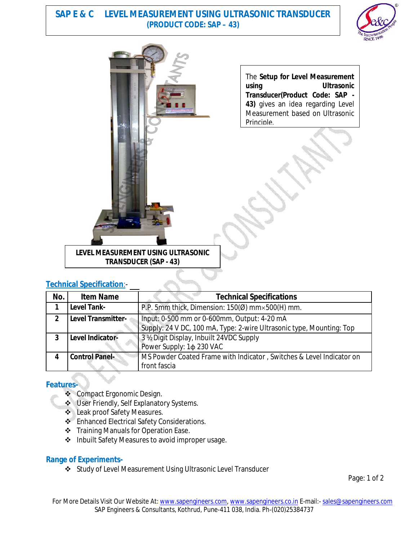## **SAP E & C LEVEL MEASUREMENT USING ULTRASONIC TRANSDUCER (PRODUCT CODE: SAP – 43)**





The **Setup for Level Measurement using Ultrasonic Transducer(Product Code: SAP - 43)** gives an idea regarding Level Measurement based on Ultrasonic Principle.

## **LEVEL MEASUREMENT USING ULTRASONIC TRANSDUCER (SAP - 43)**

### **Technical Specification**:-

| No. | <b>Item Name</b>          | <b>Technical Specifications</b>                                      |
|-----|---------------------------|----------------------------------------------------------------------|
|     | <b>Level Tank-</b>        | P.P. 5mm thick, Dimension: $150(0)$ mm $\times$ 500(H) mm.           |
| 2   | <b>Level Transmitter-</b> | Input: 0-500 mm or 0-600mm, Output: 4-20 mA                          |
|     |                           | Supply: 24 V DC, 100 mA, Type: 2-wire Ultrasonic type, Mounting: Top |
| 3   | Level Indicator-          | 3 % Digit Display, Inbuilt 24VDC Supply                              |
|     |                           | Power Supply: 1¢ 230 VAC                                             |
|     | <b>Control Panel-</b>     | MS Powder Coated Frame with Indicator, Switches & Level Indicator on |
|     |                           | front fascia                                                         |

### **Features-**

- ❖ Compact Ergonomic Design.
- User Friendly, Self Explanatory Systems.
- Leak proof Safety Measures.
- **Enhanced Electrical Safety Considerations.**
- Training Manuals for Operation Ease.
- ❖ Inbuilt Safety Measures to avoid improper usage.

### **Range of Experiments-**

Study of Level Measurement Using Ultrasonic Level Transducer

Page: 1 of 2